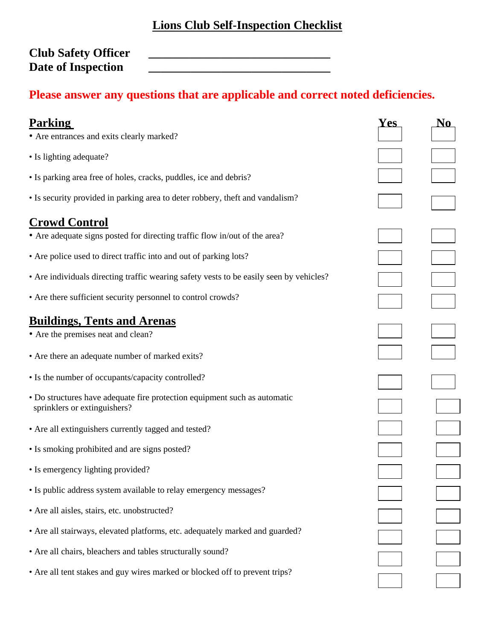## **Lions Club Self-Inspection Checklist**

Club Safety Officer<br>Date of Inspection **Date of Inspection \_\_\_\_\_\_\_\_\_\_\_\_\_\_\_\_\_\_\_\_\_\_\_\_\_\_\_\_\_\_** 

## **Please answer any questions that are applicable and correct noted deficiencies.**

| <b>Parking</b>                                                                                            | Yes | No |
|-----------------------------------------------------------------------------------------------------------|-----|----|
| • Are entrances and exits clearly marked?                                                                 |     |    |
| • Is lighting adequate?                                                                                   |     |    |
| • Is parking area free of holes, cracks, puddles, ice and debris?                                         |     |    |
| • Is security provided in parking area to deter robbery, theft and vandalism?                             |     |    |
| <b>Crowd Control</b>                                                                                      |     |    |
| • Are adequate signs posted for directing traffic flow in/out of the area?                                |     |    |
| • Are police used to direct traffic into and out of parking lots?                                         |     |    |
| • Are individuals directing traffic wearing safety vests to be easily seen by vehicles?                   |     |    |
| • Are there sufficient security personnel to control crowds?                                              |     |    |
| <b>Buildings, Tents and Arenas</b>                                                                        |     |    |
| • Are the premises neat and clean?                                                                        |     |    |
| • Are there an adequate number of marked exits?                                                           |     |    |
| • Is the number of occupants/capacity controlled?                                                         |     |    |
| • Do structures have adequate fire protection equipment such as automatic<br>sprinklers or extinguishers? |     |    |
| • Are all extinguishers currently tagged and tested?                                                      |     |    |
| • Is smoking prohibited and are signs posted?                                                             |     |    |
| • Is emergency lighting provided?                                                                         |     |    |
| • Is public address system available to relay emergency messages?                                         |     |    |
| • Are all aisles, stairs, etc. unobstructed?                                                              |     |    |
| • Are all stairways, elevated platforms, etc. adequately marked and guarded?                              |     |    |
| • Are all chairs, bleachers and tables structurally sound?                                                |     |    |
| • Are all tent stakes and guy wires marked or blocked off to prevent trips?                               |     |    |
|                                                                                                           |     |    |